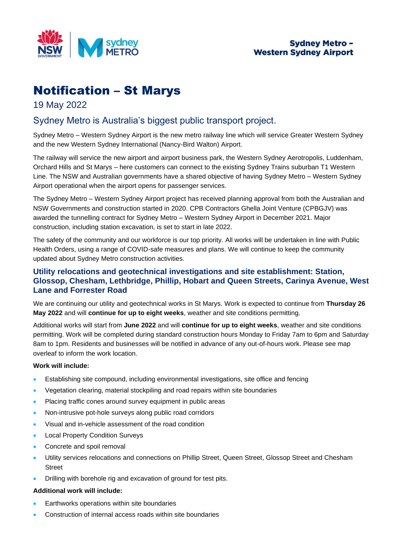

# Notification – St Marys

19 May 2022

# Sydney Metro is Australia's biggest public transport project.

Sydney Metro – Western Sydney Airport is the new metro railway line which will service Greater Western Sydney and the new Western Sydney International (Nancy-Bird Walton) Airport.

The railway will service the new airport and airport business park, the Western Sydney Aerotropolis, Luddenham, Orchard Hills and St Marys – here customers can connect to the existing Sydney Trains suburban T1 Western Line. The NSW and Australian governments have a shared objective of having Sydney Metro – Western Sydney Airport operational when the airport opens for passenger services.

The Sydney Metro – Western Sydney Airport project has received planning approval from both the Australian and NSW Governments and construction started in 2020. CPB Contractors Ghella Joint Venture (CPBGJV) was awarded the tunnelling contract for Sydney Metro – Western Sydney Airport in December 2021. Major construction, including station excavation, is set to start in late 2022.

The safety of the community and our workforce is our top priority. All works will be undertaken in line with Public Health Orders, using a range of COVID-safe measures and plans. We will continue to keep the community updated about Sydney Metro construction activities.

# **Utility relocations and geotechnical investigations and site establishment: Station, Glossop, Chesham, Lethbridge, Phillip, Hobart and Queen Streets, Carinya Avenue, West Lane and Forrester Road**

We are continuing our utility and geotechnical works in St Marys. Work is expected to continue from **Thursday 26 May 2022** and will **continue for up to eight weeks**, weather and site conditions permitting.

Additional works will start from **June 2022** and will **continue for up to eight weeks**, weather and site conditions permitting. Work will be completed during standard construction hours Monday to Friday 7am to 6pm and Saturday 8am to 1pm. Residents and businesses will be notified in advance of any out-of-hours work. Please see map overleaf to inform the work location.

# **Work will include:**

- Establishing site compound, including environmental investigations, site office and fencing
- Vegetation clearing, material stockpiling and road repairs within site boundaries
- Placing traffic cones around survey equipment in public areas
- Non-intrusive pot-hole surveys along public road corridors
- Visual and in-vehicle assessment of the road condition
- Local Property Condition Surveys
- Concrete and spoil removal
- Utility services relocations and connections on Phillip Street, Queen Street, Glossop Street and Chesham Street
- Drilling with borehole rig and excavation of ground for test pits.

## **Additional work will include:**

- Earthworks operations within site boundaries
- Construction of internal access roads within site boundaries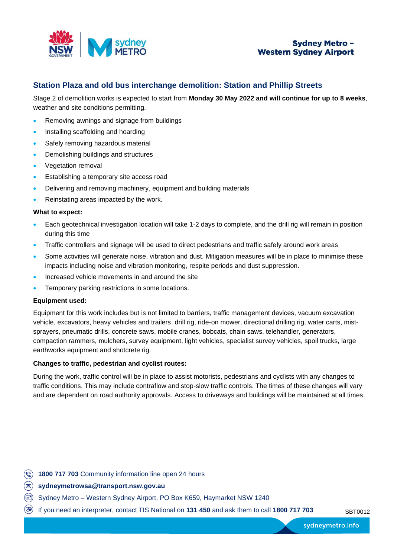

# **Station Plaza and old bus interchange demolition: Station and Phillip Streets**

Stage 2 of demolition works is expected to start from **Monday 30 May 2022 and will continue for up to 8 weeks**, weather and site conditions permitting.

- Removing awnings and signage from buildings
- Installing scaffolding and hoarding
- Safely removing hazardous material
- Demolishing buildings and structures
- Vegetation removal
- Establishing a temporary site access road
- Delivering and removing machinery, equipment and building materials
- Reinstating areas impacted by the work.

#### **What to expect:**

- Each geotechnical investigation location will take 1-2 days to complete, and the drill rig will remain in position during this time
- Traffic controllers and signage will be used to direct pedestrians and traffic safely around work areas
- Some activities will generate noise, vibration and dust. Mitigation measures will be in place to minimise these impacts including noise and vibration monitoring, respite periods and dust suppression.
- Increased vehicle movements in and around the site
- Temporary parking restrictions in some locations.

#### **Equipment used:**

Equipment for this work includes but is not limited to barriers, traffic management devices, vacuum excavation vehicle, excavators, heavy vehicles and trailers, drill rig, ride-on mower, directional drilling rig, water carts, mistsprayers, pneumatic drills, concrete saws, mobile cranes, bobcats, chain saws, telehandler, generators, compaction rammers, mulchers, survey equipment, light vehicles, specialist survey vehicles, spoil trucks, large earthworks equipment and shotcrete rig.

#### **Changes to traffic, pedestrian and cyclist routes:**

During the work, traffic control will be in place to assist motorists, pedestrians and cyclists with any changes to traffic conditions. This may include contraflow and stop-slow traffic controls. The times of these changes will vary and are dependent on road authority approvals. Access to driveways and buildings will be maintained at all times.

- **1800 717 703** Community information line open 24 hours
- **sydneymetrowsa@transport.nsw.gov.au**
- Sydney Metro Western Sydney Airport, PO Box K659, Haymarket NSW 1240
- <sup>(3)</sup> If you need an interpreter, contact TIS National on 131 450 and ask them to call 1800 717 703 SBT0012